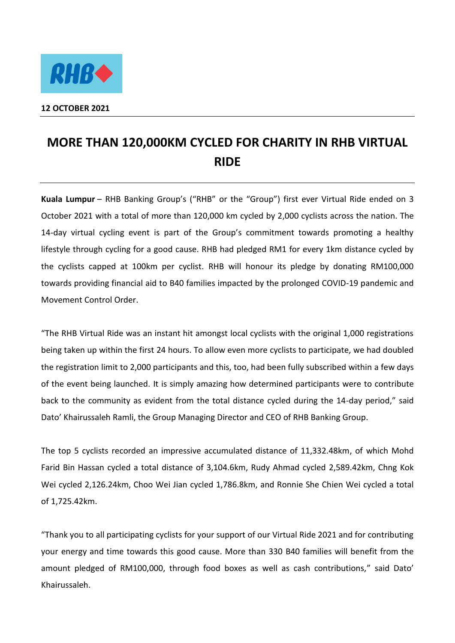

## **MORE THAN 120,000KM CYCLED FOR CHARITY IN RHB VIRTUAL RIDE**

**Kuala Lumpur** – RHB Banking Group's ("RHB" or the "Group") first ever Virtual Ride ended on 3 October 2021 with a total of more than 120,000 km cycled by 2,000 cyclists across the nation. The 14-day virtual cycling event is part of the Group's commitment towards promoting a healthy lifestyle through cycling for a good cause. RHB had pledged RM1 for every 1km distance cycled by the cyclists capped at 100km per cyclist. RHB will honour its pledge by donating RM100,000 towards providing financial aid to B40 families impacted by the prolonged COVID-19 pandemic and Movement Control Order.

"The RHB Virtual Ride was an instant hit amongst local cyclists with the original 1,000 registrations being taken up within the first 24 hours. To allow even more cyclists to participate, we had doubled the registration limit to 2,000 participants and this, too, had been fully subscribed within a few days of the event being launched. It is simply amazing how determined participants were to contribute back to the community as evident from the total distance cycled during the 14-day period," said Dato' Khairussaleh Ramli, the Group Managing Director and CEO of RHB Banking Group.

The top 5 cyclists recorded an impressive accumulated distance of 11,332.48km, of which Mohd Farid Bin Hassan cycled a total distance of 3,104.6km, Rudy Ahmad cycled 2,589.42km, Chng Kok Wei cycled 2,126.24km, Choo Wei Jian cycled 1,786.8km, and Ronnie She Chien Wei cycled a total of 1,725.42km.

"Thank you to all participating cyclists for your support of our Virtual Ride 2021 and for contributing your energy and time towards this good cause. More than 330 B40 families will benefit from the amount pledged of RM100,000, through food boxes as well as cash contributions," said Dato' Khairussaleh.